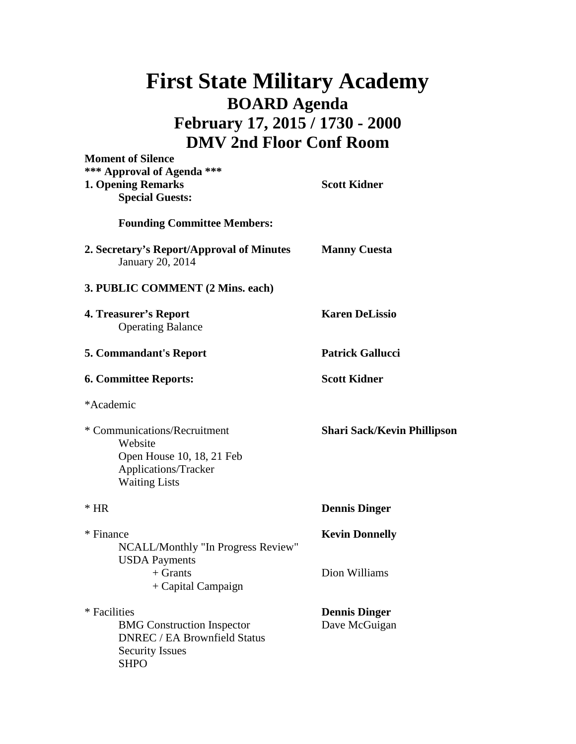## **First State Military Academy BOARD Agenda February 17, 2015 / 1730 - 2000 DMV 2nd Floor Conf Room**

| <b>Moment of Silence</b>                                                                                                          |                                       |
|-----------------------------------------------------------------------------------------------------------------------------------|---------------------------------------|
| *** Approval of Agenda ***<br><b>1. Opening Remarks</b><br><b>Special Guests:</b>                                                 | <b>Scott Kidner</b>                   |
| <b>Founding Committee Members:</b>                                                                                                |                                       |
| 2. Secretary's Report/Approval of Minutes<br>January 20, 2014                                                                     | <b>Manny Cuesta</b>                   |
| 3. PUBLIC COMMENT (2 Mins. each)                                                                                                  |                                       |
| 4. Treasurer's Report<br><b>Operating Balance</b>                                                                                 | <b>Karen DeLissio</b>                 |
| <b>5. Commandant's Report</b>                                                                                                     | <b>Patrick Gallucci</b>               |
| <b>6. Committee Reports:</b>                                                                                                      | <b>Scott Kidner</b>                   |
| *Academic                                                                                                                         |                                       |
| * Communications/Recruitment<br>Website<br>Open House 10, 18, 21 Feb<br>Applications/Tracker<br><b>Waiting Lists</b>              | <b>Shari Sack/Kevin Phillipson</b>    |
| $*$ HR                                                                                                                            | <b>Dennis Dinger</b>                  |
| * Finance<br>NCALL/Monthly "In Progress Review"<br><b>USDA</b> Payments                                                           | <b>Kevin Donnelly</b>                 |
| $+$ Grants<br>+ Capital Campaign                                                                                                  | Dion Williams                         |
| * Facilities<br><b>BMG</b> Construction Inspector<br><b>DNREC / EA Brownfield Status</b><br><b>Security Issues</b><br><b>SHPO</b> | <b>Dennis Dinger</b><br>Dave McGuigan |